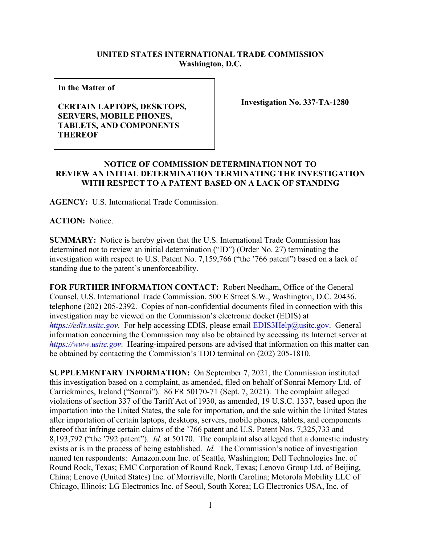## **UNITED STATES INTERNATIONAL TRADE COMMISSION Washington, D.C.**

**In the Matter of** 

## **CERTAIN LAPTOPS, DESKTOPS, SERVERS, MOBILE PHONES, TABLETS, AND COMPONENTS THEREOF**

**Investigation No. 337-TA-1280**

## **NOTICE OF COMMISSION DETERMINATION NOT TO REVIEW AN INITIAL DETERMINATION TERMINATING THE INVESTIGATION WITH RESPECT TO A PATENT BASED ON A LACK OF STANDING**

**AGENCY:** U.S. International Trade Commission.

**ACTION:** Notice.

**SUMMARY:** Notice is hereby given that the U.S. International Trade Commission has determined not to review an initial determination ("ID") (Order No. 27) terminating the investigation with respect to U.S. Patent No. 7,159,766 ("the '766 patent") based on a lack of standing due to the patent's unenforceability.

**FOR FURTHER INFORMATION CONTACT:** Robert Needham, Office of the General Counsel, U.S. International Trade Commission, 500 E Street S.W., Washington, D.C. 20436, telephone (202) 205-2392. Copies of non-confidential documents filed in connection with this investigation may be viewed on the Commission's electronic docket (EDIS) at *[https://edis.usitc.gov](https://edis.usitc.gov/).* For help accessing EDIS, please email [EDIS3Help@usitc.gov.](mailto:EDIS3Help@usitc.gov) General information concerning the Commission may also be obtained by accessing its Internet server at *[https://www.usitc.gov](https://www.usitc.gov/)*. Hearing-impaired persons are advised that information on this matter can be obtained by contacting the Commission's TDD terminal on (202) 205-1810.

**SUPPLEMENTARY INFORMATION:** On September 7, 2021, the Commission instituted this investigation based on a complaint, as amended, filed on behalf of Sonrai Memory Ltd. of Carrickmines, Ireland ("Sonrai"). 86 FR 50170-71 (Sept. 7, 2021). The complaint alleged violations of section 337 of the Tariff Act of 1930, as amended, 19 U.S.C. 1337, based upon the importation into the United States, the sale for importation, and the sale within the United States after importation of certain laptops, desktops, servers, mobile phones, tablets, and components thereof that infringe certain claims of the '766 patent and U.S. Patent Nos. 7,325,733 and 8,193,792 ("the '792 patent"). *Id.* at 50170. The complaint also alleged that a domestic industry exists or is in the process of being established. *Id.* The Commission's notice of investigation named ten respondents: Amazon.com Inc. of Seattle, Washington; Dell Technologies Inc. of Round Rock, Texas; EMC Corporation of Round Rock, Texas; Lenovo Group Ltd. of Beijing, China; Lenovo (United States) Inc. of Morrisville, North Carolina; Motorola Mobility LLC of Chicago, Illinois; LG Electronics Inc. of Seoul, South Korea; LG Electronics USA, Inc. of